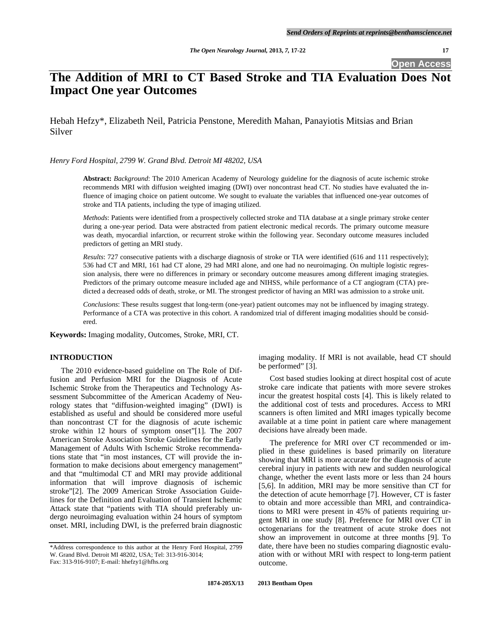**Open Access** 

# **The Addition of MRI to CT Based Stroke and TIA Evaluation Does Not Impact One year Outcomes**

Hebah Hefzy\*, Elizabeth Neil, Patricia Penstone, Meredith Mahan, Panayiotis Mitsias and Brian Silver

*Henry Ford Hospital, 2799 W. Grand Blvd. Detroit MI 48202, USA* 

**Abstract:** *Background*: The 2010 American Academy of Neurology guideline for the diagnosis of acute ischemic stroke recommends MRI with diffusion weighted imaging (DWI) over noncontrast head CT. No studies have evaluated the influence of imaging choice on patient outcome. We sought to evaluate the variables that influenced one-year outcomes of stroke and TIA patients, including the type of imaging utilized.

*Methods*: Patients were identified from a prospectively collected stroke and TIA database at a single primary stroke center during a one-year period. Data were abstracted from patient electronic medical records. The primary outcome measure was death, myocardial infarction, or recurrent stroke within the following year. Secondary outcome measures included predictors of getting an MRI study.

*Results*: 727 consecutive patients with a discharge diagnosis of stroke or TIA were identified (616 and 111 respectively); 536 had CT and MRI, 161 had CT alone, 29 had MRI alone, and one had no neuroimaging. On multiple logistic regression analysis, there were no differences in primary or secondary outcome measures among different imaging strategies. Predictors of the primary outcome measure included age and NIHSS, while performance of a CT angiogram (CTA) predicted a decreased odds of death, stroke, or MI. The strongest predictor of having an MRI was admission to a stroke unit.

*Conclusions*: These results suggest that long-term (one-year) patient outcomes may not be influenced by imaging strategy. Performance of a CTA was protective in this cohort. A randomized trial of different imaging modalities should be considered.

**Keywords:** Imaging modality, Outcomes, Stroke, MRI, CT.

# **INTRODUCTION**

 The 2010 evidence-based guideline on The Role of Diffusion and Perfusion MRI for the Diagnosis of Acute Ischemic Stroke from the Therapeutics and Technology Assessment Subcommittee of the American Academy of Neurology states that "diffusion-weighted imaging" (DWI) is established as useful and should be considered more useful than noncontrast CT for the diagnosis of acute ischemic stroke within 12 hours of symptom onset"[1]. The 2007 American Stroke Association Stroke Guidelines for the Early Management of Adults With Ischemic Stroke recommendations state that "in most instances, CT will provide the information to make decisions about emergency management" and that "multimodal CT and MRI may provide additional information that will improve diagnosis of ischemic stroke"[2]. The 2009 American Stroke Association Guidelines for the Definition and Evaluation of Transient Ischemic Attack state that "patients with TIA should preferably undergo neuroimaging evaluation within 24 hours of symptom onset. MRI, including DWI, is the preferred brain diagnostic imaging modality. If MRI is not available, head CT should be performed" [3].

 Cost based studies looking at direct hospital cost of acute stroke care indicate that patients with more severe strokes incur the greatest hospital costs [4]. This is likely related to the additional cost of tests and procedures. Access to MRI scanners is often limited and MRI images typically become available at a time point in patient care where management decisions have already been made.

 The preference for MRI over CT recommended or implied in these guidelines is based primarily on literature showing that MRI is more accurate for the diagnosis of acute cerebral injury in patients with new and sudden neurological change, whether the event lasts more or less than 24 hours [5,6]. In addition, MRI may be more sensitive than CT for the detection of acute hemorrhage [7]. However, CT is faster to obtain and more accessible than MRI, and contraindications to MRI were present in 45% of patients requiring urgent MRI in one study [8]. Preference for MRI over CT in octogenarians for the treatment of acute stroke does not show an improvement in outcome at three months [9]. To date, there have been no studies comparing diagnostic evaluation with or without MRI with respect to long-term patient outcome.

<sup>\*</sup>Address correspondence to this author at the Henry Ford Hospital, 2799 W. Grand Blvd. Detroit MI 48202, USA; Tel: 313-916-3014; Fax: 313-916-9107; E-mail: hhefzy1@hfhs.org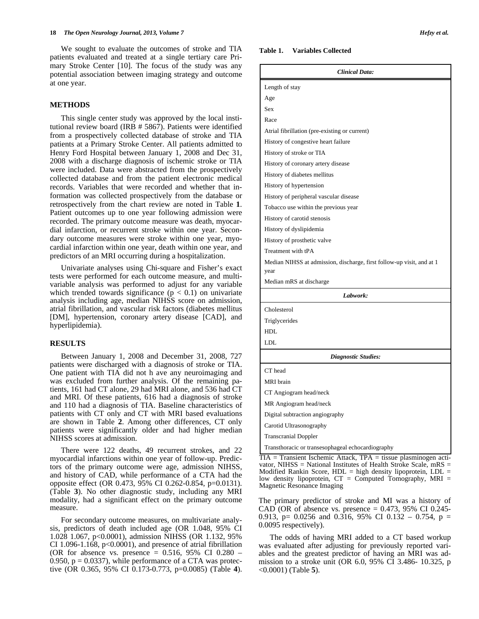We sought to evaluate the outcomes of stroke and TIA patients evaluated and treated at a single tertiary care Primary Stroke Center [10]. The focus of the study was any potential association between imaging strategy and outcome at one year.

#### **METHODS**

 This single center study was approved by the local institutional review board (IRB # 5867). Patients were identified from a prospectively collected database of stroke and TIA patients at a Primary Stroke Center. All patients admitted to Henry Ford Hospital between January 1, 2008 and Dec 31, 2008 with a discharge diagnosis of ischemic stroke or TIA were included. Data were abstracted from the prospectively collected database and from the patient electronic medical records. Variables that were recorded and whether that information was collected prospectively from the database or retrospectively from the chart review are noted in Table **1**. Patient outcomes up to one year following admission were recorded. The primary outcome measure was death, myocardial infarction, or recurrent stroke within one year. Secondary outcome measures were stroke within one year, myocardial infarction within one year, death within one year, and predictors of an MRI occurring during a hospitalization.

 Univariate analyses using Chi-square and Fisher's exact tests were performed for each outcome measure, and multivariable analysis was performed to adjust for any variable which trended towards significance  $(p < 0.1)$  on univariate analysis including age, median NIHSS score on admission, atrial fibrillation, and vascular risk factors (diabetes mellitus [DM], hypertension, coronary artery disease [CAD], and hyperlipidemia).

# **RESULTS**

 Between January 1, 2008 and December 31, 2008, 727 patients were discharged with a diagnosis of stroke or TIA. One patient with TIA did not h ave any neuroimaging and was excluded from further analysis. Of the remaining patients, 161 had CT alone, 29 had MRI alone, and 536 had CT and MRI. Of these patients, 616 had a diagnosis of stroke and 110 had a diagnosis of TIA. Baseline characteristics of patients with CT only and CT with MRI based evaluations are shown in Table **2**. Among other differences, CT only patients were significantly older and had higher median NIHSS scores at admission.

 There were 122 deaths, 49 recurrent strokes, and 22 myocardial infarctions within one year of follow-up. Predictors of the primary outcome were age, admission NIHSS, and history of CAD, while performance of a CTA had the opposite effect (OR 0.473, 95% CI 0.262-0.854, p=0.0131). (Table **3**). No other diagnostic study, including any MRI modality, had a significant effect on the primary outcome measure.

 For secondary outcome measures, on multivariate analysis, predictors of death included age (OR 1.048, 95% CI 1.028 1.067, p<0.0001), admission NIHSS (OR 1.132, 95% CI 1.096-1.168,  $p<0.0001$ ), and presence of atrial fibrillation (OR for absence vs. presence =  $0.516$ , 95% CI  $0.280$  – 0.950,  $p = 0.0337$ , while performance of a CTA was protective (OR 0.365, 95% CI 0.173-0.773, p=0.0085) (Table **4**).

#### **Table 1. Variables Collected**

| <b>Clinical Data:</b>                                                         |  |  |  |
|-------------------------------------------------------------------------------|--|--|--|
| Length of stay                                                                |  |  |  |
| Age                                                                           |  |  |  |
| <b>Sex</b>                                                                    |  |  |  |
| Race                                                                          |  |  |  |
| Atrial fibrillation (pre-existing or current)                                 |  |  |  |
| History of congestive heart failure                                           |  |  |  |
| History of stroke or TIA                                                      |  |  |  |
| History of coronary artery disease                                            |  |  |  |
| History of diabetes mellitus                                                  |  |  |  |
| History of hypertension                                                       |  |  |  |
| History of peripheral vascular disease                                        |  |  |  |
| Tobacco use within the previous year                                          |  |  |  |
| History of carotid stenosis                                                   |  |  |  |
| History of dyslipidemia                                                       |  |  |  |
| History of prosthetic valve                                                   |  |  |  |
| Treatment with tPA                                                            |  |  |  |
| Median NIHSS at admission, discharge, first follow-up visit, and at 1<br>year |  |  |  |
| Median mRS at discharge                                                       |  |  |  |
| Labwork:                                                                      |  |  |  |
| Cholesterol                                                                   |  |  |  |
| Triglycerides                                                                 |  |  |  |
| <b>HDL</b>                                                                    |  |  |  |
| LDL                                                                           |  |  |  |
| <b>Diagnostic Studies:</b>                                                    |  |  |  |
| CT head                                                                       |  |  |  |
| <b>MRI</b> brain                                                              |  |  |  |
| CT Angiogram head/neck                                                        |  |  |  |
| MR Angiogram head/neck                                                        |  |  |  |
| Digital subtraction angiography                                               |  |  |  |
| Carotid Ultrasonography                                                       |  |  |  |
| <b>Transcranial Doppler</b>                                                   |  |  |  |
| Transthoracic or transesophageal echocardiography                             |  |  |  |

TIA = Transient Ischemic Attack, TPA = tissue plasminogen activator, NIHSS = National Institutes of Health Stroke Scale,  $mRS =$ Modified Rankin Score,  $HDL = high$  density lipoprotein,  $LDL =$ low density lipoprotein,  $CT =$  Computed Tomography, MRI = Magnetic Resonance Imaging

The primary predictor of stroke and MI was a history of CAD (OR of absence vs. presence  $= 0.473$ , 95% CI 0.245-0.913, p= 0.0256 and 0.316, 95% CI 0.132 – 0.754, p = 0.0095 respectively).

 The odds of having MRI added to a CT based workup was evaluated after adjusting for previously reported variables and the greatest predictor of having an MRI was admission to a stroke unit (OR 6.0, 95% CI 3.486- 10.325, p <0.0001) (Table **5**).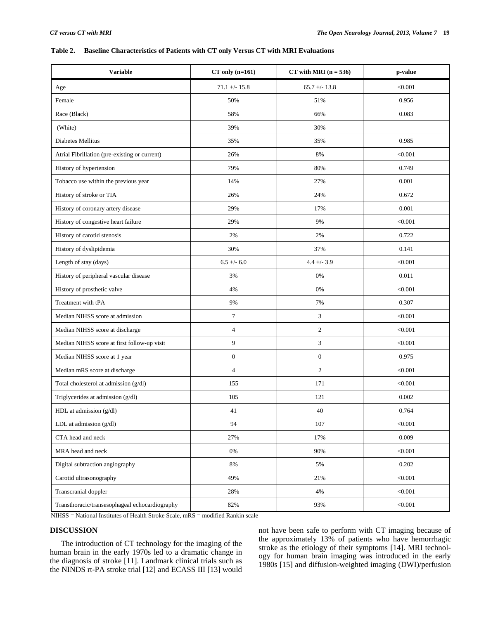# **Table 2. Baseline Characteristics of Patients with CT only Versus CT with MRI Evaluations**

| <b>Variable</b>                                | $CT$ only $(n=161)$   | $CT$ with MRI ( $n = 536$ ) | p-value |
|------------------------------------------------|-----------------------|-----------------------------|---------|
| Age                                            | $71.1 + - 15.8$       | $65.7 + - 13.8$             | < 0.001 |
| Female                                         | 50%                   | 51%                         | 0.956   |
| Race (Black)                                   | 58%                   | 66%                         | 0.083   |
| (White)                                        | 39%                   | 30%                         |         |
| <b>Diabetes Mellitus</b>                       | 35%                   | 35%                         | 0.985   |
| Atrial Fibrillation (pre-existing or current)  | 26%                   | 8%                          | < 0.001 |
| History of hypertension                        | 79%                   | 80%                         | 0.749   |
| Tobacco use within the previous year           | 14%                   | 27%                         | 0.001   |
| History of stroke or TIA                       | 26%                   | 24%                         | 0.672   |
| History of coronary artery disease             | 29%                   | 17%                         | 0.001   |
| History of congestive heart failure            | 29%                   | 9%                          | < 0.001 |
| History of carotid stenosis                    | 2%                    | 2%                          | 0.722   |
| History of dyslipidemia                        | 30%                   | 37%                         | 0.141   |
| Length of stay (days)                          | $6.5 +/- 6.0$         | $4.4 +/- 3.9$               | < 0.001 |
| History of peripheral vascular disease         | 3%                    | 0%                          | 0.011   |
| History of prosthetic valve                    | 4%                    | 0%                          | < 0.001 |
| Treatment with tPA                             | 9%                    | 7%                          | 0.307   |
| Median NIHSS score at admission                | $\tau$                | 3                           | < 0.001 |
| Median NIHSS score at discharge                | $\overline{4}$        | $\overline{2}$              | < 0.001 |
| Median NIHSS score at first follow-up visit    | 9                     | 3                           | < 0.001 |
| Median NIHSS score at 1 year                   | $\boldsymbol{0}$      | $\boldsymbol{0}$            | 0.975   |
| Median mRS score at discharge                  | $\overline{4}$        | $\overline{2}$              | < 0.001 |
| Total cholesterol at admission (g/dl)          | 155                   | 171                         | < 0.001 |
| Triglycerides at admission (g/dl)              | 105                   | 121                         | 0.002   |
| HDL at admission (g/dl)                        | 41                    | 40                          | 0.764   |
| LDL at admission (g/dl)                        | 94                    | 107                         | < 0.001 |
| CTA head and neck                              | 27%                   | 17%                         | 0.009   |
| MRA head and neck                              | $0\%$                 | 90%                         | < 0.001 |
| Digital subtraction angiography                | $8\%$                 | 5%                          | 0.202   |
| Carotid ultrasonography                        | 49%                   | 21%                         | < 0.001 |
| Transcranial doppler                           | 28%                   | 4%                          | < 0.001 |
| Transthoracic/transesophageal echocardiography | 82%<br>$1.72 \pm 1.2$ | 93%                         | < 0.001 |

NIHSS = National Institutes of Health Stroke Scale, mRS = modified Rankin scale

# **DISCUSSION**

 The introduction of CT technology for the imaging of the human brain in the early 1970s led to a dramatic change in the diagnosis of stroke [11]. Landmark clinical trials such as the NINDS rt-PA stroke trial [12] and ECASS III [13] would not have been safe to perform with CT imaging because of the approximately 13% of patients who have hemorrhagic stroke as the etiology of their symptoms [14]. MRI technology for human brain imaging was introduced in the early 1980s [15] and diffusion-weighted imaging (DWI)/perfusion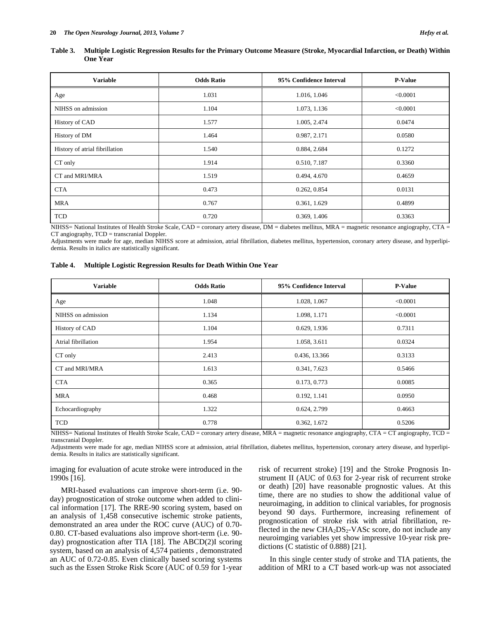| Table 3. Multiple Logistic Regression Results for the Primary Outcome Measure (Stroke, Myocardial Infarction, or Death) Within |
|--------------------------------------------------------------------------------------------------------------------------------|
| <b>One Year</b>                                                                                                                |

| <b>Variable</b>                | <b>Odds Ratio</b> | 95% Confidence Interval | <b>P-Value</b> |
|--------------------------------|-------------------|-------------------------|----------------|
| Age                            | 1.031             | 1.016, 1.046            | < 0.0001       |
| NIHSS on admission             | 1.104             | 1.073, 1.136            | < 0.0001       |
| History of CAD                 | 1.577             | 1.005, 2.474            | 0.0474         |
| History of DM                  | 1.464             | 0.987, 2.171            | 0.0580         |
| History of atrial fibrillation | 1.540             | 0.884, 2.684            | 0.1272         |
| CT only                        | 1.914             | 0.510, 7.187            | 0.3360         |
| CT and MRI/MRA                 | 1.519             | 0.494, 4.670            | 0.4659         |
| <b>CTA</b>                     | 0.473             | 0.262, 0.854            | 0.0131         |
| <b>MRA</b>                     | 0.767             | 0.361, 1.629            | 0.4899         |
| <b>TCD</b>                     | 0.720             | 0.369, 1.406            | 0.3363         |

NIHSS= National Institutes of Health Stroke Scale, CAD = coronary artery disease, DM = diabetes mellitus, MRA = magnetic resonance angiography, CTA = CT angiography, TCD = transcranial Doppler.

Adjustments were made for age, median NIHSS score at admission, atrial fibrillation, diabetes mellitus, hypertension, coronary artery disease, and hyperlipidemia. Results in italics are statistically significant.

| Table 4. |  | <b>Multiple Logistic Regression Results for Death Within One Year</b> |  |  |  |  |
|----------|--|-----------------------------------------------------------------------|--|--|--|--|
|----------|--|-----------------------------------------------------------------------|--|--|--|--|

| <b>Variable</b>     | <b>Odds Ratio</b><br>95% Confidence Interval |               | <b>P-Value</b> |
|---------------------|----------------------------------------------|---------------|----------------|
| Age                 | 1.048<br>1.028, 1.067                        |               | < 0.0001       |
| NIHSS on admission  | 1.098, 1.171<br>1.134                        |               | < 0.0001       |
| History of CAD      | 1.104<br>0.629, 1.936                        |               | 0.7311         |
| Atrial fibrillation | 1.954                                        | 1.058, 3.611  | 0.0324         |
| CT only             | 2.413                                        | 0.436, 13.366 | 0.3133         |
| CT and MRI/MRA      | 1.613                                        | 0.341, 7.623  | 0.5466         |
| <b>CTA</b>          | 0.365                                        | 0.173, 0.773  | 0.0085         |
| <b>MRA</b>          | 0.468                                        | 0.192, 1.141  | 0.0950         |
| Echocardiography    | 1.322<br>0.624, 2.799                        |               | 0.4663         |
| <b>TCD</b>          | 0.778                                        | 0.362, 1.672  | 0.5206         |

NIHSS= National Institutes of Health Stroke Scale, CAD = coronary artery disease, MRA = magnetic resonance angiography, CTA = CT angiography, TCD = transcranial Doppler.

Adjustments were made for age, median NIHSS score at admission, atrial fibrillation, diabetes mellitus, hypertension, coronary artery disease, and hyperlipidemia. Results in italics are statistically significant.

imaging for evaluation of acute stroke were introduced in the 1990s [16].

 MRI-based evaluations can improve short-term (i.e. 90 day) prognostication of stroke outcome when added to clinical information [17]. The RRE-90 scoring system, based on an analysis of 1,458 consecutive ischemic stroke patients, demonstrated an area under the ROC curve (AUC) of 0.70- 0.80. CT-based evaluations also improve short-term (i.e. 90 day) prognostication after TIA [18]. The ABCD(2)I scoring system, based on an analysis of 4,574 patients , demonstrated an AUC of 0.72-0.85. Even clinically based scoring systems such as the Essen Stroke Risk Score (AUC of 0.59 for 1-year risk of recurrent stroke) [19] and the Stroke Prognosis Instrument II (AUC of 0.63 for 2-year risk of recurrent stroke or death) [20] have reasonable prognostic values. At this time, there are no studies to show the additional value of neuroimaging, in addition to clinical variables, for prognosis beyond 90 days. Furthermore, increasing refinement of prognostication of stroke risk with atrial fibrillation, reflected in the new  $CHA<sub>2</sub>DS<sub>2</sub>-VASc score, do not include any$ neuroimging variables yet show impressive 10-year risk predictions (C statistic of 0.888) [21].

 In this single center study of stroke and TIA patients, the addition of MRI to a CT based work-up was not associated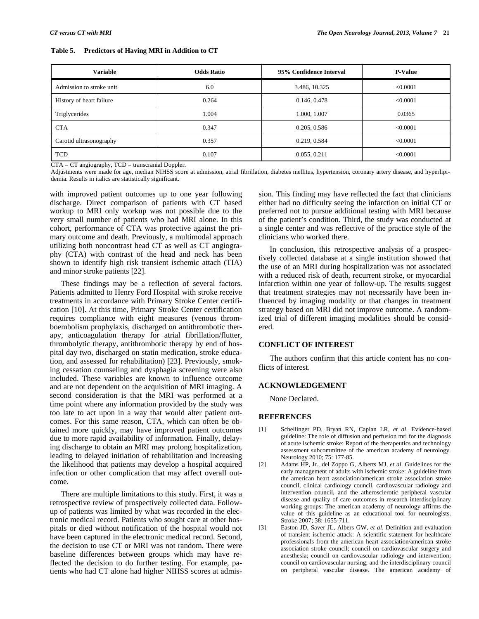|  | Table 5. Predictors of Having MRI in Addition to CT |
|--|-----------------------------------------------------|
|--|-----------------------------------------------------|

| <b>Variable</b>          | <b>Odds Ratio</b><br>95% Confidence Interval |               | <b>P-Value</b> |
|--------------------------|----------------------------------------------|---------------|----------------|
| Admission to stroke unit | 6.0                                          | 3.486, 10.325 | < 0.0001       |
| History of heart failure | 0.264                                        | 0.146, 0.478  | < 0.0001       |
| Triglycerides            | 1.004                                        | 1.000, 1.007  | 0.0365         |
| <b>CTA</b>               | 0.347                                        | 0.205, 0.586  | < 0.0001       |
| Carotid ultrasonography  | 0.357                                        | 0.219, 0.584  | < 0.0001       |
| <b>TCD</b>               | 0.107                                        | 0.055, 0.211  | < 0.0001       |

 $CTA = CT$  angiography,  $TCD =$  transcranial Doppler.

Adjustments were made for age, median NIHSS score at admission, atrial fibrillation, diabetes mellitus, hypertension, coronary artery disease, and hyperlipidemia. Results in italics are statistically significant.

with improved patient outcomes up to one year following discharge. Direct comparison of patients with CT based workup to MRI only workup was not possible due to the very small number of patients who had MRI alone. In this cohort, performance of CTA was protective against the primary outcome and death. Previously, a multimodal approach utilizing both noncontrast head CT as well as CT angiography (CTA) with contrast of the head and neck has been shown to identify high risk transient ischemic attach (TIA) and minor stroke patients [22].

 These findings may be a reflection of several factors. Patients admitted to Henry Ford Hospital with stroke receive treatments in accordance with Primary Stroke Center certification [10]. At this time, Primary Stroke Center certification requires compliance with eight measures (venous thromboembolism prophylaxis, discharged on antithrombotic therapy, anticoagulation therapy for atrial fibrillation/flutter, thrombolytic therapy, antithrombotic therapy by end of hospital day two, discharged on statin medication, stroke education, and assessed for rehabilitation) [23]. Previously, smoking cessation counseling and dysphagia screening were also included. These variables are known to influence outcome and are not dependent on the acquisition of MRI imaging. A second consideration is that the MRI was performed at a time point where any information provided by the study was too late to act upon in a way that would alter patient outcomes. For this same reason, CTA, which can often be obtained more quickly, may have improved patient outcomes due to more rapid availability of information. Finally, delaying discharge to obtain an MRI may prolong hospitalization, leading to delayed initiation of rehabilitation and increasing the likelihood that patients may develop a hospital acquired infection or other complication that may affect overall outcome.

 There are multiple limitations to this study. First, it was a retrospective review of prospectively collected data. Followup of patients was limited by what was recorded in the electronic medical record. Patients who sought care at other hospitals or died without notification of the hospital would not have been captured in the electronic medical record. Second, the decision to use CT or MRI was not random. There were baseline differences between groups which may have reflected the decision to do further testing. For example, patients who had CT alone had higher NIHSS scores at admission. This finding may have reflected the fact that clinicians either had no difficulty seeing the infarction on initial CT or preferred not to pursue additional testing with MRI because of the patient's condition. Third, the study was conducted at a single center and was reflective of the practice style of the clinicians who worked there.

 In conclusion, this retrospective analysis of a prospectively collected database at a single institution showed that the use of an MRI during hospitalization was not associated with a reduced risk of death, recurrent stroke, or myocardial infarction within one year of follow-up. The results suggest that treatment strategies may not necessarily have been influenced by imaging modality or that changes in treatment strategy based on MRI did not improve outcome. A randomized trial of different imaging modalities should be considered.

# **CONFLICT OF INTEREST**

 The authors confirm that this article content has no conflicts of interest.

# **ACKNOWLEDGEMENT**

None Declared.

# **REFERENCES**

- [1] Schellinger PD, Bryan RN, Caplan LR, *et al*. Evidence-based guideline: The role of diffusion and perfusion mri for the diagnosis of acute ischemic stroke: Report of the therapeutics and technology assessment subcommittee of the american academy of neurology. Neurology 2010; 75: 177-85.
- [2] Adams HP, Jr., del Zoppo G, Alberts MJ, *et al*. Guidelines for the early management of adults with ischemic stroke: A guideline from the american heart association/american stroke association stroke council, clinical cardiology council, cardiovascular radiology and intervention council, and the atherosclerotic peripheral vascular disease and quality of care outcomes in research interdisciplinary working groups: The american academy of neurology affirms the value of this guideline as an educational tool for neurologists. Stroke 2007; 38: 1655-711.
- [3] Easton JD, Saver JL, Albers GW, *et al*. Definition and evaluation of transient ischemic attack: A scientific statement for healthcare professionals from the american heart association/american stroke association stroke council; council on cardiovascular surgery and anesthesia; council on cardiovascular radiology and intervention; council on cardiovascular nursing; and the interdisciplinary council on peripheral vascular disease. The american academy of